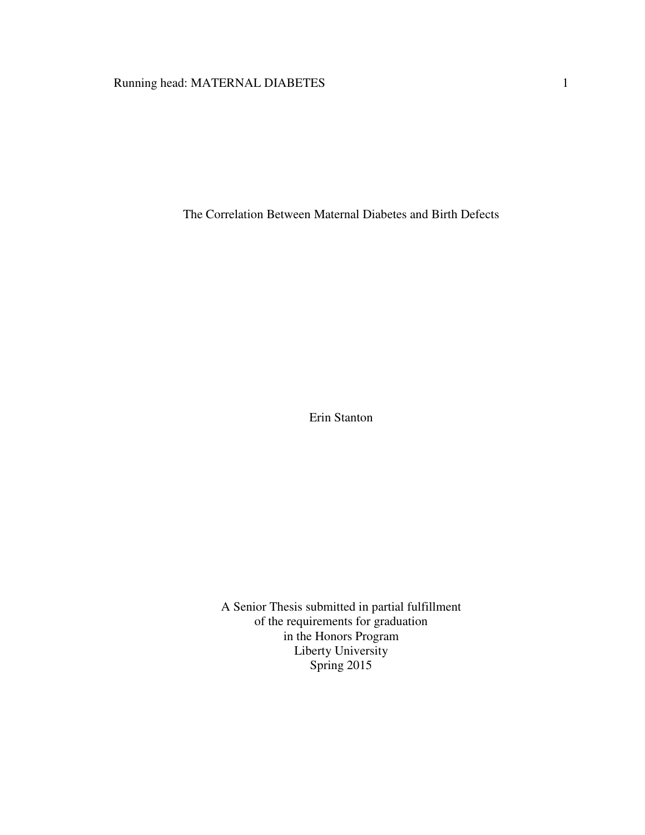# Running head: MATERNAL DIABETES 1

The Correlation Between Maternal Diabetes and Birth Defects

Erin Stanton

A Senior Thesis submitted in partial fulfillment of the requirements for graduation in the Honors Program Liberty University Spring 2015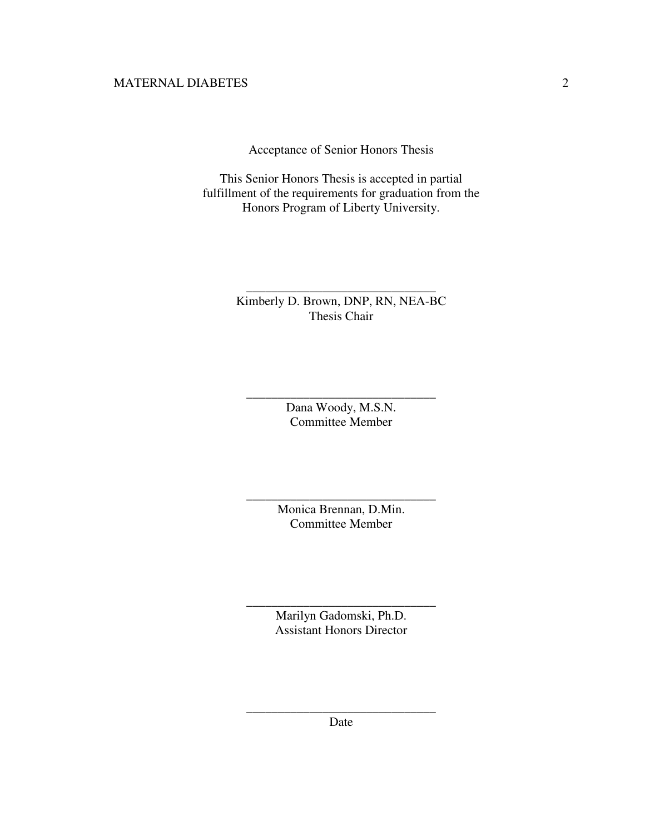Acceptance of Senior Honors Thesis

This Senior Honors Thesis is accepted in partial fulfillment of the requirements for graduation from the Honors Program of Liberty University.

# Kimberly D. Brown, DNP, RN, NEA-BC Thesis Chair

\_\_\_\_\_\_\_\_\_\_\_\_\_\_\_\_\_\_\_\_\_\_\_\_\_\_\_\_\_\_

Dana Woody, M.S.N. Committee Member

\_\_\_\_\_\_\_\_\_\_\_\_\_\_\_\_\_\_\_\_\_\_\_\_\_\_\_\_\_\_

Monica Brennan, D.Min. Committee Member

\_\_\_\_\_\_\_\_\_\_\_\_\_\_\_\_\_\_\_\_\_\_\_\_\_\_\_\_\_\_

Marilyn Gadomski, Ph.D. Assistant Honors Director

\_\_\_\_\_\_\_\_\_\_\_\_\_\_\_\_\_\_\_\_\_\_\_\_\_\_\_\_\_\_

\_\_\_\_\_\_\_\_\_\_\_\_\_\_\_\_\_\_\_\_\_\_\_\_\_\_\_\_\_\_ Date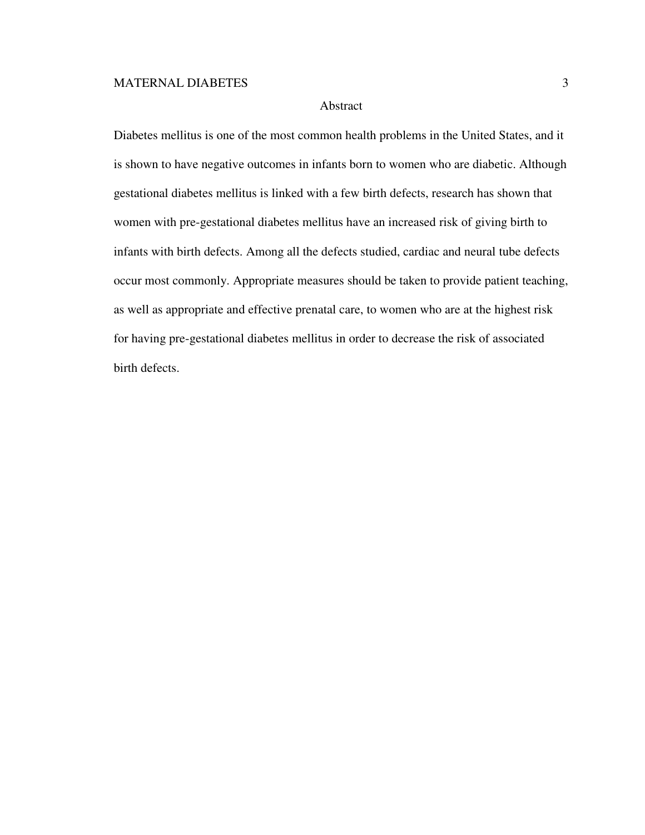## Abstract

Diabetes mellitus is one of the most common health problems in the United States, and it is shown to have negative outcomes in infants born to women who are diabetic. Although gestational diabetes mellitus is linked with a few birth defects, research has shown that women with pre-gestational diabetes mellitus have an increased risk of giving birth to infants with birth defects. Among all the defects studied, cardiac and neural tube defects occur most commonly. Appropriate measures should be taken to provide patient teaching, as well as appropriate and effective prenatal care, to women who are at the highest risk for having pre-gestational diabetes mellitus in order to decrease the risk of associated birth defects.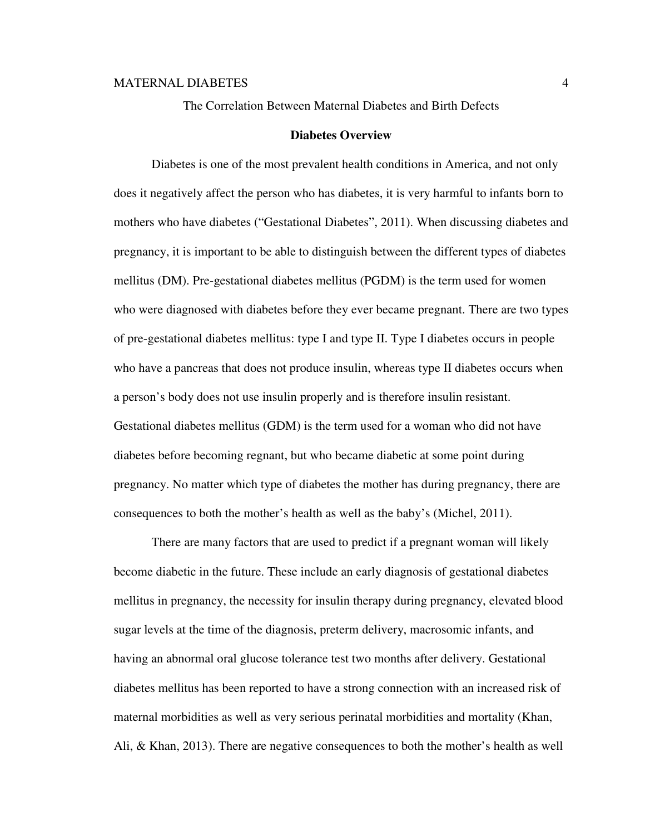The Correlation Between Maternal Diabetes and Birth Defects

#### **Diabetes Overview**

Diabetes is one of the most prevalent health conditions in America, and not only does it negatively affect the person who has diabetes, it is very harmful to infants born to mothers who have diabetes ("Gestational Diabetes", 2011). When discussing diabetes and pregnancy, it is important to be able to distinguish between the different types of diabetes mellitus (DM). Pre-gestational diabetes mellitus (PGDM) is the term used for women who were diagnosed with diabetes before they ever became pregnant. There are two types of pre-gestational diabetes mellitus: type I and type II. Type I diabetes occurs in people who have a pancreas that does not produce insulin, whereas type II diabetes occurs when a person's body does not use insulin properly and is therefore insulin resistant. Gestational diabetes mellitus (GDM) is the term used for a woman who did not have diabetes before becoming regnant, but who became diabetic at some point during pregnancy. No matter which type of diabetes the mother has during pregnancy, there are consequences to both the mother's health as well as the baby's (Michel, 2011).

There are many factors that are used to predict if a pregnant woman will likely become diabetic in the future. These include an early diagnosis of gestational diabetes mellitus in pregnancy, the necessity for insulin therapy during pregnancy, elevated blood sugar levels at the time of the diagnosis, preterm delivery, macrosomic infants, and having an abnormal oral glucose tolerance test two months after delivery. Gestational diabetes mellitus has been reported to have a strong connection with an increased risk of maternal morbidities as well as very serious perinatal morbidities and mortality (Khan, Ali, & Khan, 2013). There are negative consequences to both the mother's health as well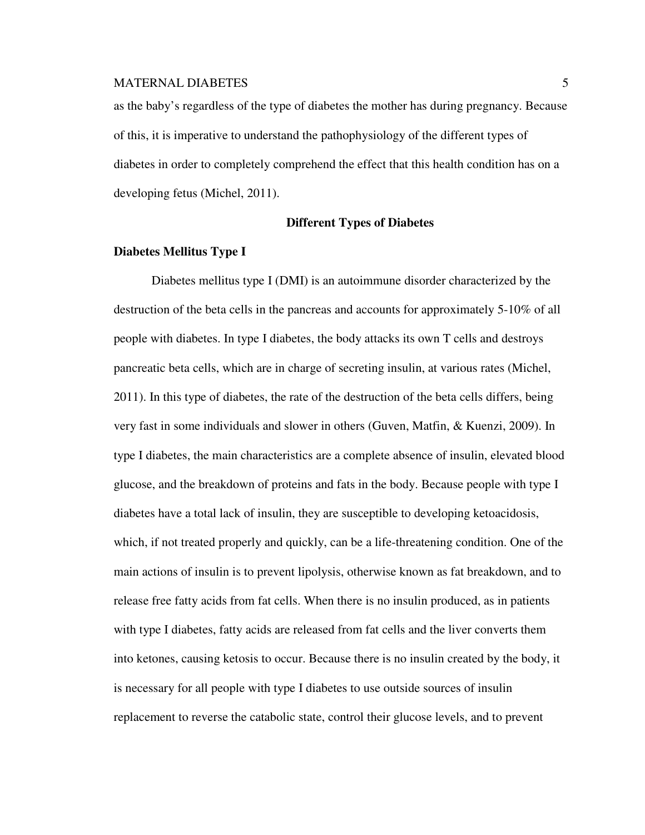as the baby's regardless of the type of diabetes the mother has during pregnancy. Because of this, it is imperative to understand the pathophysiology of the different types of diabetes in order to completely comprehend the effect that this health condition has on a developing fetus (Michel, 2011).

## **Different Types of Diabetes**

#### **Diabetes Mellitus Type I**

 Diabetes mellitus type I (DMI) is an autoimmune disorder characterized by the destruction of the beta cells in the pancreas and accounts for approximately 5-10% of all people with diabetes. In type I diabetes, the body attacks its own T cells and destroys pancreatic beta cells, which are in charge of secreting insulin, at various rates (Michel, 2011). In this type of diabetes, the rate of the destruction of the beta cells differs, being very fast in some individuals and slower in others (Guven, Matfin, & Kuenzi, 2009). In type I diabetes, the main characteristics are a complete absence of insulin, elevated blood glucose, and the breakdown of proteins and fats in the body. Because people with type I diabetes have a total lack of insulin, they are susceptible to developing ketoacidosis, which, if not treated properly and quickly, can be a life-threatening condition. One of the main actions of insulin is to prevent lipolysis, otherwise known as fat breakdown, and to release free fatty acids from fat cells. When there is no insulin produced, as in patients with type I diabetes, fatty acids are released from fat cells and the liver converts them into ketones, causing ketosis to occur. Because there is no insulin created by the body, it is necessary for all people with type I diabetes to use outside sources of insulin replacement to reverse the catabolic state, control their glucose levels, and to prevent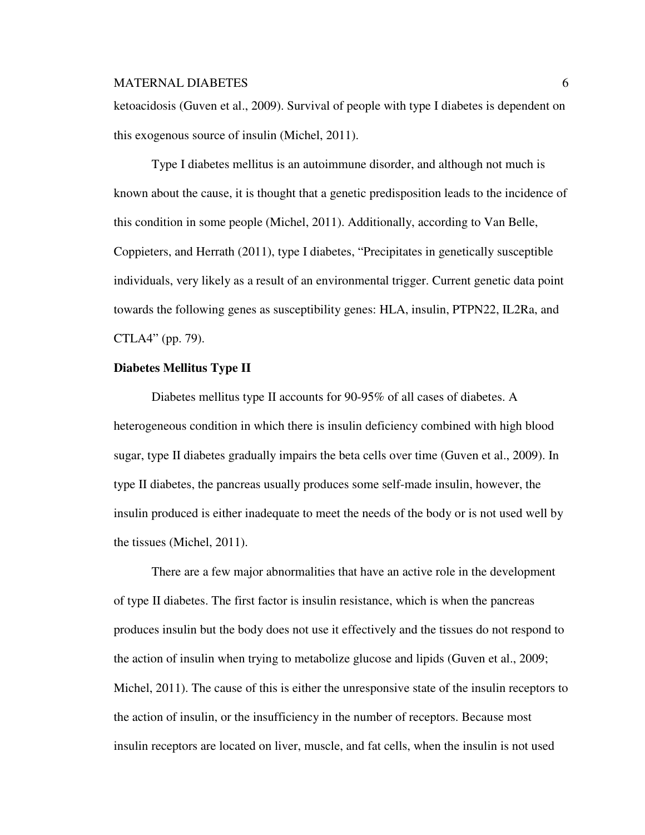ketoacidosis (Guven et al., 2009). Survival of people with type I diabetes is dependent on this exogenous source of insulin (Michel, 2011).

Type I diabetes mellitus is an autoimmune disorder, and although not much is known about the cause, it is thought that a genetic predisposition leads to the incidence of this condition in some people (Michel, 2011). Additionally, according to Van Belle, Coppieters, and Herrath (2011), type I diabetes, "Precipitates in genetically susceptible individuals, very likely as a result of an environmental trigger. Current genetic data point towards the following genes as susceptibility genes: HLA, insulin, PTPN22, IL2Ra, and CTLA4" (pp. 79).

## **Diabetes Mellitus Type II**

Diabetes mellitus type II accounts for 90-95% of all cases of diabetes. A heterogeneous condition in which there is insulin deficiency combined with high blood sugar, type II diabetes gradually impairs the beta cells over time (Guven et al., 2009). In type II diabetes, the pancreas usually produces some self-made insulin, however, the insulin produced is either inadequate to meet the needs of the body or is not used well by the tissues (Michel, 2011).

There are a few major abnormalities that have an active role in the development of type II diabetes. The first factor is insulin resistance, which is when the pancreas produces insulin but the body does not use it effectively and the tissues do not respond to the action of insulin when trying to metabolize glucose and lipids (Guven et al., 2009; Michel, 2011). The cause of this is either the unresponsive state of the insulin receptors to the action of insulin, or the insufficiency in the number of receptors. Because most insulin receptors are located on liver, muscle, and fat cells, when the insulin is not used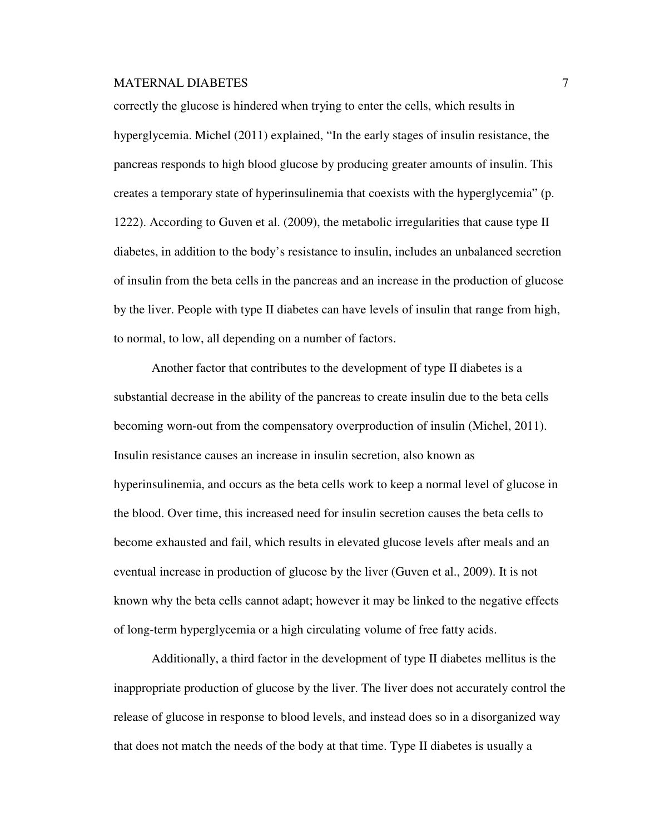correctly the glucose is hindered when trying to enter the cells, which results in hyperglycemia. Michel (2011) explained, "In the early stages of insulin resistance, the pancreas responds to high blood glucose by producing greater amounts of insulin. This creates a temporary state of hyperinsulinemia that coexists with the hyperglycemia" (p. 1222). According to Guven et al. (2009), the metabolic irregularities that cause type II diabetes, in addition to the body's resistance to insulin, includes an unbalanced secretion of insulin from the beta cells in the pancreas and an increase in the production of glucose by the liver. People with type II diabetes can have levels of insulin that range from high, to normal, to low, all depending on a number of factors.

Another factor that contributes to the development of type II diabetes is a substantial decrease in the ability of the pancreas to create insulin due to the beta cells becoming worn-out from the compensatory overproduction of insulin (Michel, 2011). Insulin resistance causes an increase in insulin secretion, also known as hyperinsulinemia, and occurs as the beta cells work to keep a normal level of glucose in the blood. Over time, this increased need for insulin secretion causes the beta cells to become exhausted and fail, which results in elevated glucose levels after meals and an eventual increase in production of glucose by the liver (Guven et al., 2009). It is not known why the beta cells cannot adapt; however it may be linked to the negative effects of long-term hyperglycemia or a high circulating volume of free fatty acids.

Additionally, a third factor in the development of type II diabetes mellitus is the inappropriate production of glucose by the liver. The liver does not accurately control the release of glucose in response to blood levels, and instead does so in a disorganized way that does not match the needs of the body at that time. Type II diabetes is usually a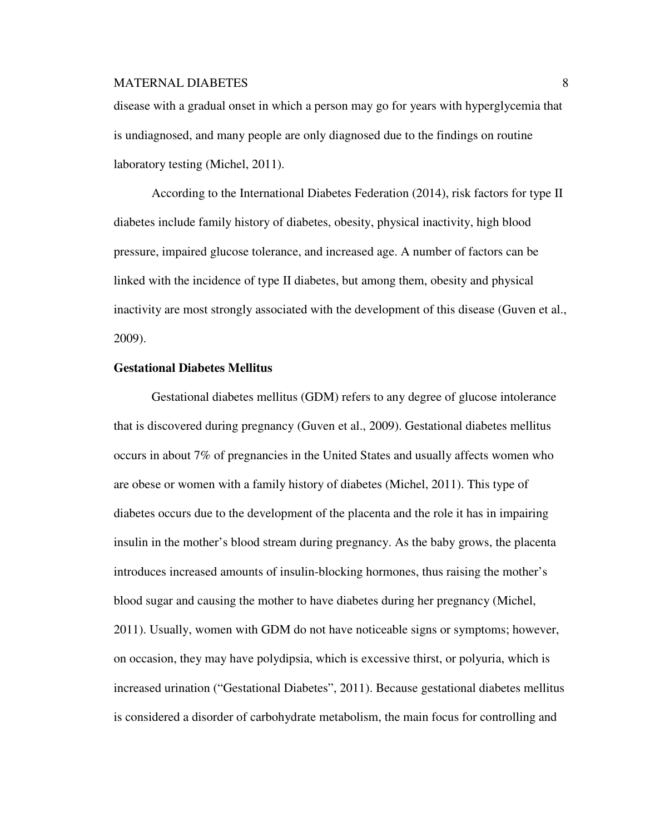disease with a gradual onset in which a person may go for years with hyperglycemia that is undiagnosed, and many people are only diagnosed due to the findings on routine laboratory testing (Michel, 2011).

According to the International Diabetes Federation (2014), risk factors for type II diabetes include family history of diabetes, obesity, physical inactivity, high blood pressure, impaired glucose tolerance, and increased age. A number of factors can be linked with the incidence of type II diabetes, but among them, obesity and physical inactivity are most strongly associated with the development of this disease (Guven et al., 2009).

## **Gestational Diabetes Mellitus**

 Gestational diabetes mellitus (GDM) refers to any degree of glucose intolerance that is discovered during pregnancy (Guven et al., 2009). Gestational diabetes mellitus occurs in about 7% of pregnancies in the United States and usually affects women who are obese or women with a family history of diabetes (Michel, 2011). This type of diabetes occurs due to the development of the placenta and the role it has in impairing insulin in the mother's blood stream during pregnancy. As the baby grows, the placenta introduces increased amounts of insulin-blocking hormones, thus raising the mother's blood sugar and causing the mother to have diabetes during her pregnancy (Michel, 2011). Usually, women with GDM do not have noticeable signs or symptoms; however, on occasion, they may have polydipsia, which is excessive thirst, or polyuria, which is increased urination ("Gestational Diabetes", 2011). Because gestational diabetes mellitus is considered a disorder of carbohydrate metabolism, the main focus for controlling and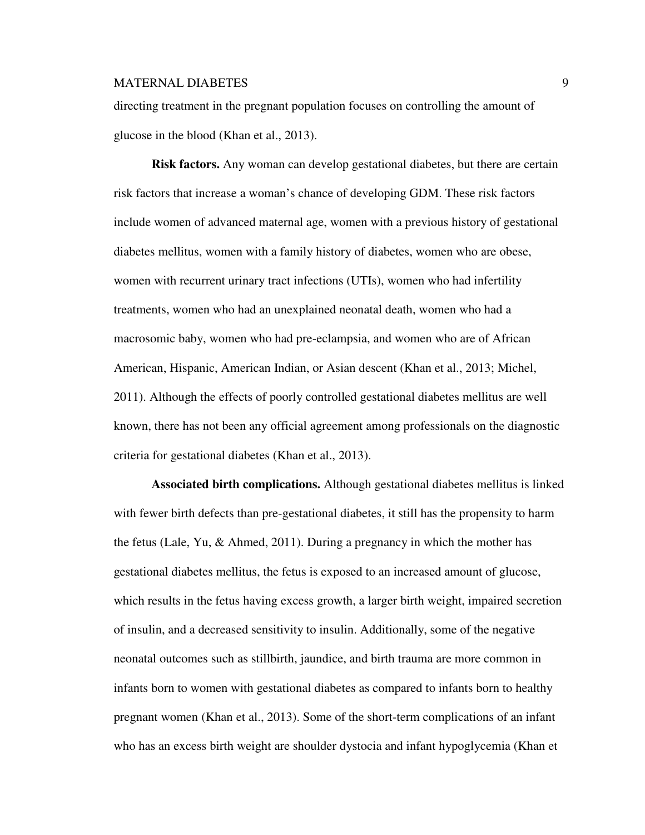directing treatment in the pregnant population focuses on controlling the amount of glucose in the blood (Khan et al., 2013).

**Risk factors.** Any woman can develop gestational diabetes, but there are certain risk factors that increase a woman's chance of developing GDM. These risk factors include women of advanced maternal age, women with a previous history of gestational diabetes mellitus, women with a family history of diabetes, women who are obese, women with recurrent urinary tract infections (UTIs), women who had infertility treatments, women who had an unexplained neonatal death, women who had a macrosomic baby, women who had pre-eclampsia, and women who are of African American, Hispanic, American Indian, or Asian descent (Khan et al., 2013; Michel, 2011). Although the effects of poorly controlled gestational diabetes mellitus are well known, there has not been any official agreement among professionals on the diagnostic criteria for gestational diabetes (Khan et al., 2013).

**Associated birth complications.** Although gestational diabetes mellitus is linked with fewer birth defects than pre-gestational diabetes, it still has the propensity to harm the fetus (Lale, Yu, & Ahmed, 2011). During a pregnancy in which the mother has gestational diabetes mellitus, the fetus is exposed to an increased amount of glucose, which results in the fetus having excess growth, a larger birth weight, impaired secretion of insulin, and a decreased sensitivity to insulin. Additionally, some of the negative neonatal outcomes such as stillbirth, jaundice, and birth trauma are more common in infants born to women with gestational diabetes as compared to infants born to healthy pregnant women (Khan et al., 2013). Some of the short-term complications of an infant who has an excess birth weight are shoulder dystocia and infant hypoglycemia (Khan et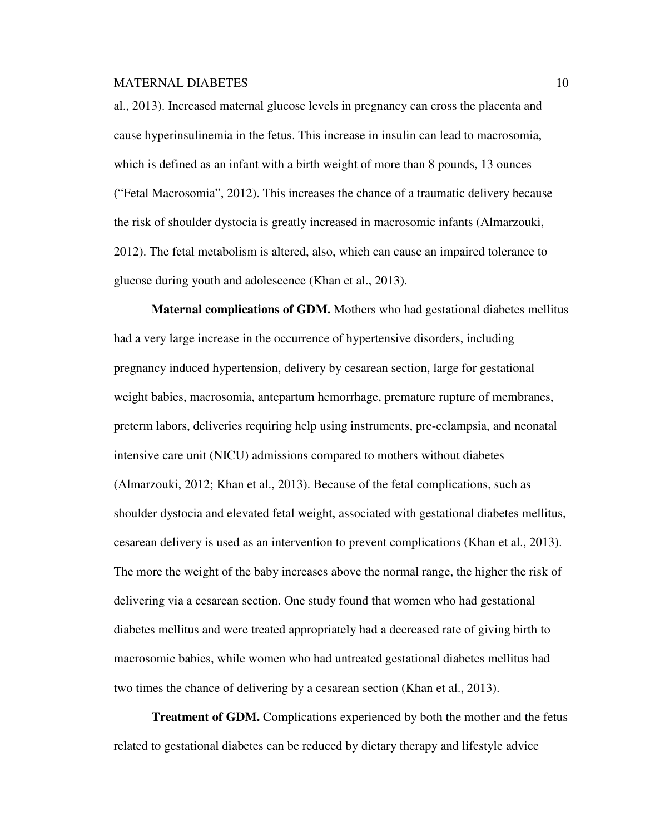al., 2013). Increased maternal glucose levels in pregnancy can cross the placenta and cause hyperinsulinemia in the fetus. This increase in insulin can lead to macrosomia, which is defined as an infant with a birth weight of more than 8 pounds, 13 ounces ("Fetal Macrosomia", 2012). This increases the chance of a traumatic delivery because the risk of shoulder dystocia is greatly increased in macrosomic infants (Almarzouki, 2012). The fetal metabolism is altered, also, which can cause an impaired tolerance to glucose during youth and adolescence (Khan et al., 2013).

**Maternal complications of GDM.** Mothers who had gestational diabetes mellitus had a very large increase in the occurrence of hypertensive disorders, including pregnancy induced hypertension, delivery by cesarean section, large for gestational weight babies, macrosomia, antepartum hemorrhage, premature rupture of membranes, preterm labors, deliveries requiring help using instruments, pre-eclampsia, and neonatal intensive care unit (NICU) admissions compared to mothers without diabetes (Almarzouki, 2012; Khan et al., 2013). Because of the fetal complications, such as shoulder dystocia and elevated fetal weight, associated with gestational diabetes mellitus, cesarean delivery is used as an intervention to prevent complications (Khan et al., 2013). The more the weight of the baby increases above the normal range, the higher the risk of delivering via a cesarean section. One study found that women who had gestational diabetes mellitus and were treated appropriately had a decreased rate of giving birth to macrosomic babies, while women who had untreated gestational diabetes mellitus had two times the chance of delivering by a cesarean section (Khan et al., 2013).

**Treatment of GDM.** Complications experienced by both the mother and the fetus related to gestational diabetes can be reduced by dietary therapy and lifestyle advice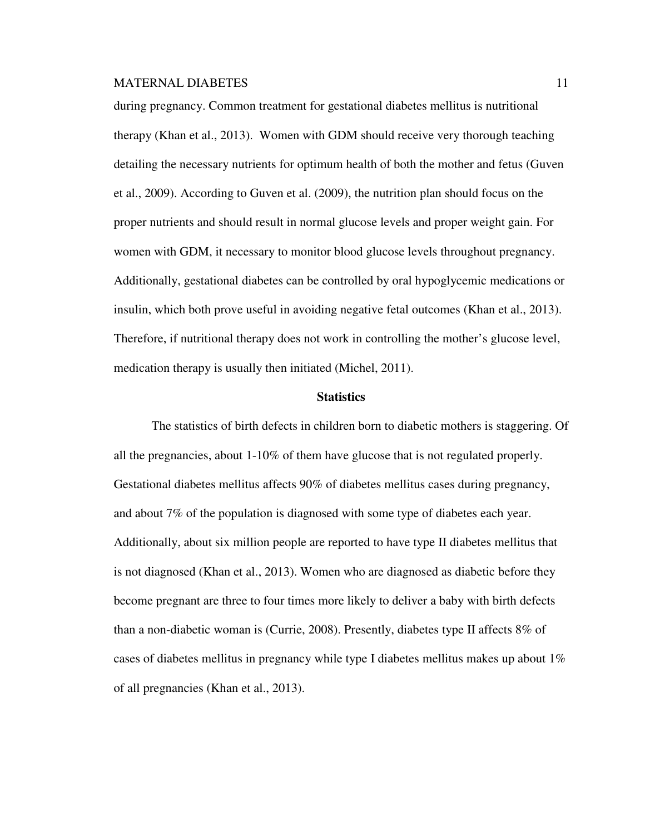during pregnancy. Common treatment for gestational diabetes mellitus is nutritional therapy (Khan et al., 2013). Women with GDM should receive very thorough teaching detailing the necessary nutrients for optimum health of both the mother and fetus (Guven et al., 2009). According to Guven et al. (2009), the nutrition plan should focus on the proper nutrients and should result in normal glucose levels and proper weight gain. For women with GDM, it necessary to monitor blood glucose levels throughout pregnancy. Additionally, gestational diabetes can be controlled by oral hypoglycemic medications or insulin, which both prove useful in avoiding negative fetal outcomes (Khan et al., 2013). Therefore, if nutritional therapy does not work in controlling the mother's glucose level, medication therapy is usually then initiated (Michel, 2011).

#### **Statistics**

The statistics of birth defects in children born to diabetic mothers is staggering. Of all the pregnancies, about 1-10% of them have glucose that is not regulated properly. Gestational diabetes mellitus affects 90% of diabetes mellitus cases during pregnancy, and about 7% of the population is diagnosed with some type of diabetes each year. Additionally, about six million people are reported to have type II diabetes mellitus that is not diagnosed (Khan et al., 2013). Women who are diagnosed as diabetic before they become pregnant are three to four times more likely to deliver a baby with birth defects than a non-diabetic woman is (Currie, 2008). Presently, diabetes type II affects 8% of cases of diabetes mellitus in pregnancy while type I diabetes mellitus makes up about 1% of all pregnancies (Khan et al., 2013).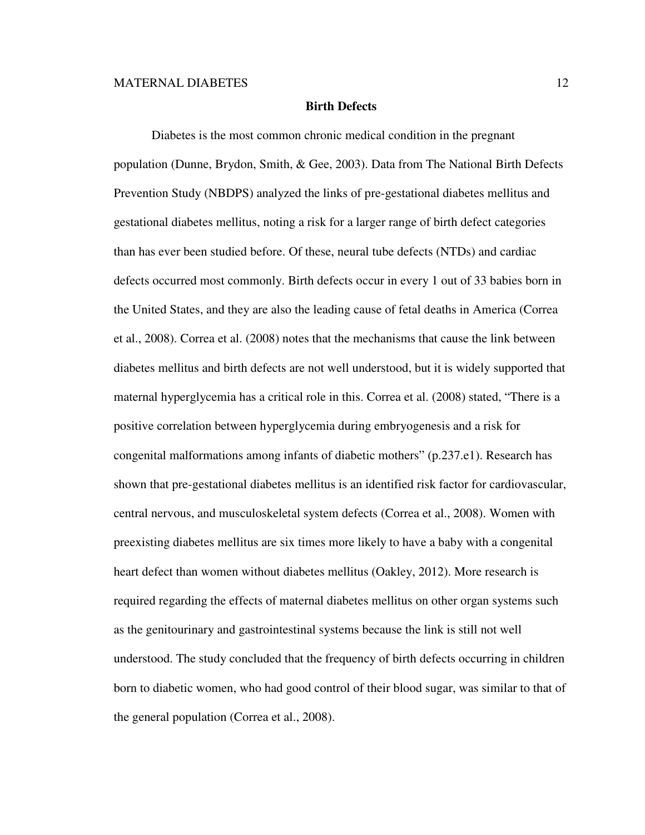#### **Birth Defects**

Diabetes is the most common chronic medical condition in the pregnant population (Dunne, Brydon, Smith, & Gee, 2003). Data from The National Birth Defects Prevention Study (NBDPS) analyzed the links of pre-gestational diabetes mellitus and gestational diabetes mellitus, noting a risk for a larger range of birth defect categories than has ever been studied before. Of these, neural tube defects (NTDs) and cardiac defects occurred most commonly. Birth defects occur in every 1 out of 33 babies born in the United States, and they are also the leading cause of fetal deaths in America (Correa et al., 2008). Correa et al. (2008) notes that the mechanisms that cause the link between diabetes mellitus and birth defects are not well understood, but it is widely supported that maternal hyperglycemia has a critical role in this. Correa et al. (2008) stated, "There is a positive correlation between hyperglycemia during embryogenesis and a risk for congenital malformations among infants of diabetic mothers" (p.237.e1). Research has shown that pre-gestational diabetes mellitus is an identified risk factor for cardiovascular, central nervous, and musculoskeletal system defects (Correa et al., 2008). Women with preexisting diabetes mellitus are six times more likely to have a baby with a congenital heart defect than women without diabetes mellitus (Oakley, 2012). More research is required regarding the effects of maternal diabetes mellitus on other organ systems such as the genitourinary and gastrointestinal systems because the link is still not well understood. The study concluded that the frequency of birth defects occurring in children born to diabetic women, who had good control of their blood sugar, was similar to that of the general population (Correa et al., 2008).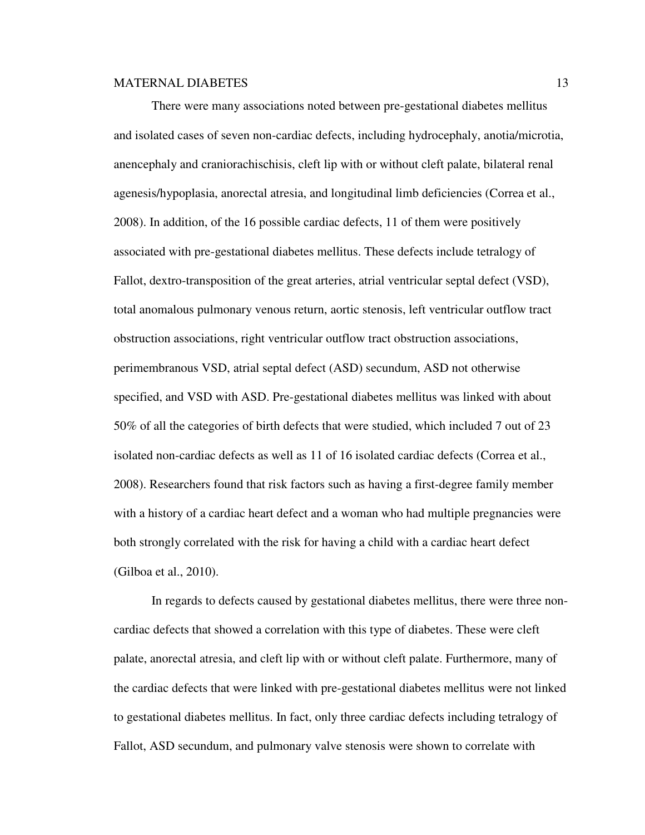There were many associations noted between pre-gestational diabetes mellitus and isolated cases of seven non-cardiac defects, including hydrocephaly, anotia/microtia, anencephaly and craniorachischisis, cleft lip with or without cleft palate, bilateral renal agenesis/hypoplasia, anorectal atresia, and longitudinal limb deficiencies (Correa et al., 2008). In addition, of the 16 possible cardiac defects, 11 of them were positively associated with pre-gestational diabetes mellitus. These defects include tetralogy of Fallot, dextro-transposition of the great arteries, atrial ventricular septal defect (VSD), total anomalous pulmonary venous return, aortic stenosis, left ventricular outflow tract obstruction associations, right ventricular outflow tract obstruction associations, perimembranous VSD, atrial septal defect (ASD) secundum, ASD not otherwise specified, and VSD with ASD. Pre-gestational diabetes mellitus was linked with about 50% of all the categories of birth defects that were studied, which included 7 out of 23 isolated non-cardiac defects as well as 11 of 16 isolated cardiac defects (Correa et al., 2008). Researchers found that risk factors such as having a first-degree family member with a history of a cardiac heart defect and a woman who had multiple pregnancies were both strongly correlated with the risk for having a child with a cardiac heart defect (Gilboa et al., 2010).

In regards to defects caused by gestational diabetes mellitus, there were three noncardiac defects that showed a correlation with this type of diabetes. These were cleft palate, anorectal atresia, and cleft lip with or without cleft palate. Furthermore, many of the cardiac defects that were linked with pre-gestational diabetes mellitus were not linked to gestational diabetes mellitus. In fact, only three cardiac defects including tetralogy of Fallot, ASD secundum, and pulmonary valve stenosis were shown to correlate with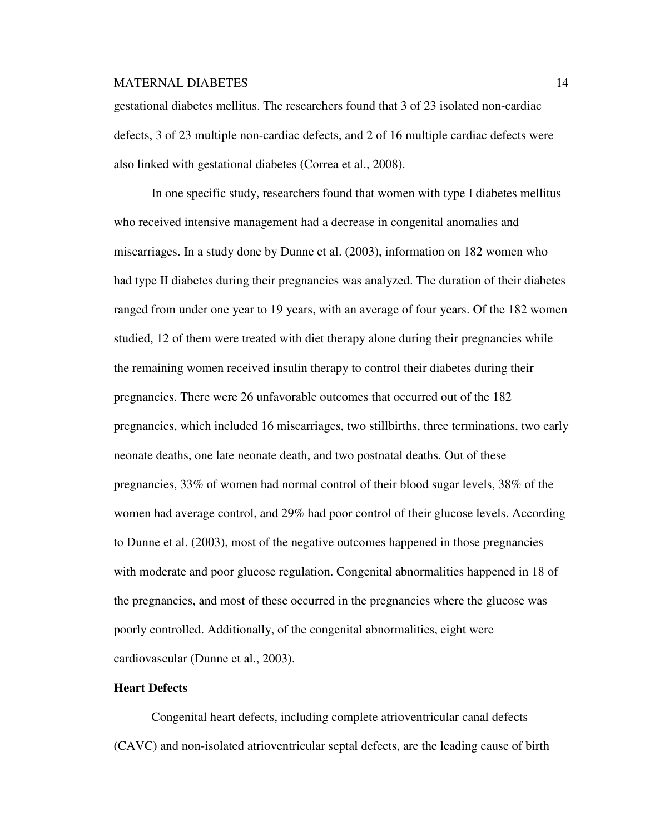gestational diabetes mellitus. The researchers found that 3 of 23 isolated non-cardiac defects, 3 of 23 multiple non-cardiac defects, and 2 of 16 multiple cardiac defects were also linked with gestational diabetes (Correa et al., 2008).

In one specific study, researchers found that women with type I diabetes mellitus who received intensive management had a decrease in congenital anomalies and miscarriages. In a study done by Dunne et al. (2003), information on 182 women who had type II diabetes during their pregnancies was analyzed. The duration of their diabetes ranged from under one year to 19 years, with an average of four years. Of the 182 women studied, 12 of them were treated with diet therapy alone during their pregnancies while the remaining women received insulin therapy to control their diabetes during their pregnancies. There were 26 unfavorable outcomes that occurred out of the 182 pregnancies, which included 16 miscarriages, two stillbirths, three terminations, two early neonate deaths, one late neonate death, and two postnatal deaths. Out of these pregnancies, 33% of women had normal control of their blood sugar levels, 38% of the women had average control, and 29% had poor control of their glucose levels. According to Dunne et al. (2003), most of the negative outcomes happened in those pregnancies with moderate and poor glucose regulation. Congenital abnormalities happened in 18 of the pregnancies, and most of these occurred in the pregnancies where the glucose was poorly controlled. Additionally, of the congenital abnormalities, eight were cardiovascular (Dunne et al., 2003).

### **Heart Defects**

Congenital heart defects, including complete atrioventricular canal defects (CAVC) and non-isolated atrioventricular septal defects, are the leading cause of birth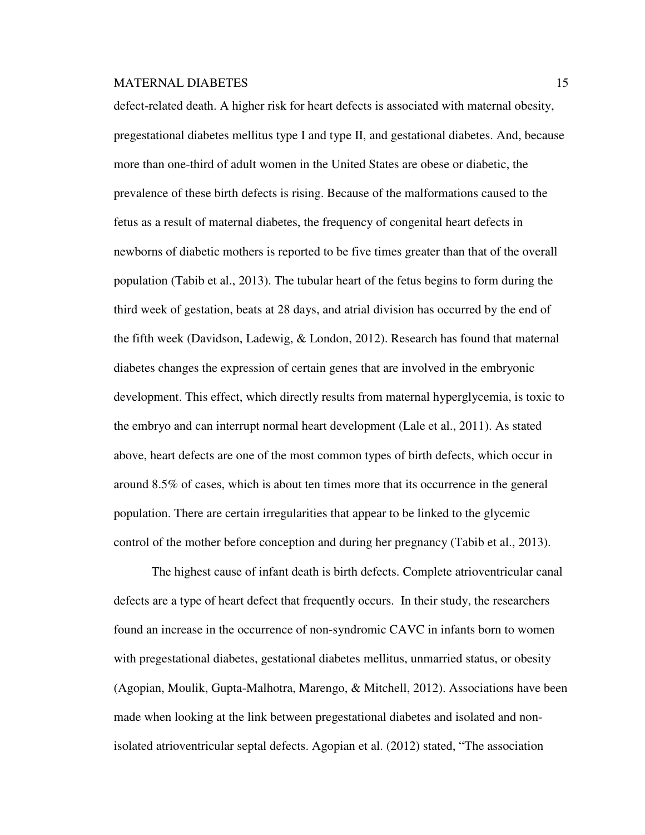defect-related death. A higher risk for heart defects is associated with maternal obesity, pregestational diabetes mellitus type I and type II, and gestational diabetes. And, because more than one-third of adult women in the United States are obese or diabetic, the prevalence of these birth defects is rising. Because of the malformations caused to the fetus as a result of maternal diabetes, the frequency of congenital heart defects in newborns of diabetic mothers is reported to be five times greater than that of the overall population (Tabib et al., 2013). The tubular heart of the fetus begins to form during the third week of gestation, beats at 28 days, and atrial division has occurred by the end of the fifth week (Davidson, Ladewig, & London, 2012). Research has found that maternal diabetes changes the expression of certain genes that are involved in the embryonic development. This effect, which directly results from maternal hyperglycemia, is toxic to the embryo and can interrupt normal heart development (Lale et al., 2011). As stated above, heart defects are one of the most common types of birth defects, which occur in around 8.5% of cases, which is about ten times more that its occurrence in the general population. There are certain irregularities that appear to be linked to the glycemic control of the mother before conception and during her pregnancy (Tabib et al., 2013).

The highest cause of infant death is birth defects. Complete atrioventricular canal defects are a type of heart defect that frequently occurs. In their study, the researchers found an increase in the occurrence of non-syndromic CAVC in infants born to women with pregestational diabetes, gestational diabetes mellitus, unmarried status, or obesity (Agopian, Moulik, Gupta-Malhotra, Marengo, & Mitchell, 2012). Associations have been made when looking at the link between pregestational diabetes and isolated and nonisolated atrioventricular septal defects. Agopian et al. (2012) stated, "The association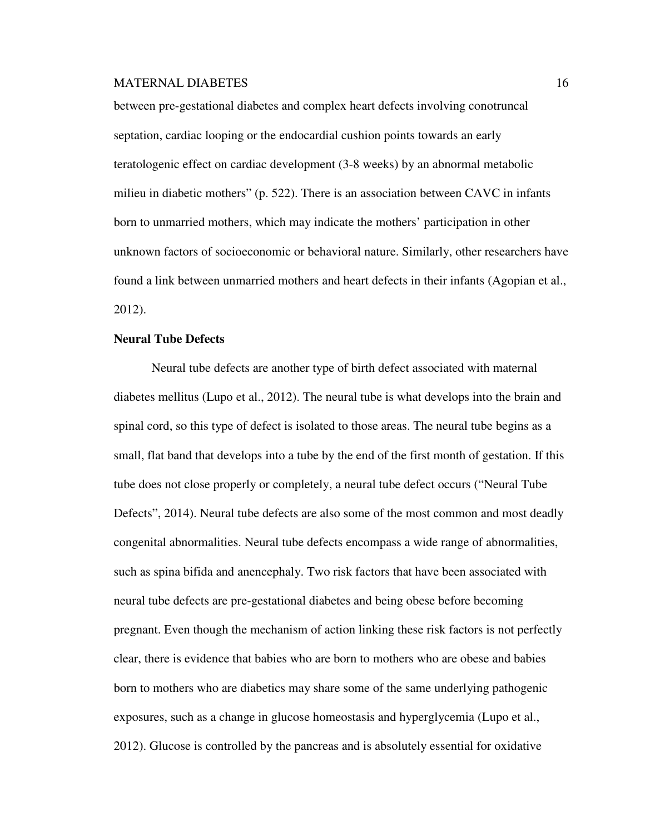between pre-gestational diabetes and complex heart defects involving conotruncal septation, cardiac looping or the endocardial cushion points towards an early teratologenic effect on cardiac development (3-8 weeks) by an abnormal metabolic milieu in diabetic mothers" (p. 522). There is an association between CAVC in infants born to unmarried mothers, which may indicate the mothers' participation in other unknown factors of socioeconomic or behavioral nature. Similarly, other researchers have found a link between unmarried mothers and heart defects in their infants (Agopian et al., 2012).

# **Neural Tube Defects**

Neural tube defects are another type of birth defect associated with maternal diabetes mellitus (Lupo et al., 2012). The neural tube is what develops into the brain and spinal cord, so this type of defect is isolated to those areas. The neural tube begins as a small, flat band that develops into a tube by the end of the first month of gestation. If this tube does not close properly or completely, a neural tube defect occurs ("Neural Tube Defects", 2014). Neural tube defects are also some of the most common and most deadly congenital abnormalities. Neural tube defects encompass a wide range of abnormalities, such as spina bifida and anencephaly. Two risk factors that have been associated with neural tube defects are pre-gestational diabetes and being obese before becoming pregnant. Even though the mechanism of action linking these risk factors is not perfectly clear, there is evidence that babies who are born to mothers who are obese and babies born to mothers who are diabetics may share some of the same underlying pathogenic exposures, such as a change in glucose homeostasis and hyperglycemia (Lupo et al., 2012). Glucose is controlled by the pancreas and is absolutely essential for oxidative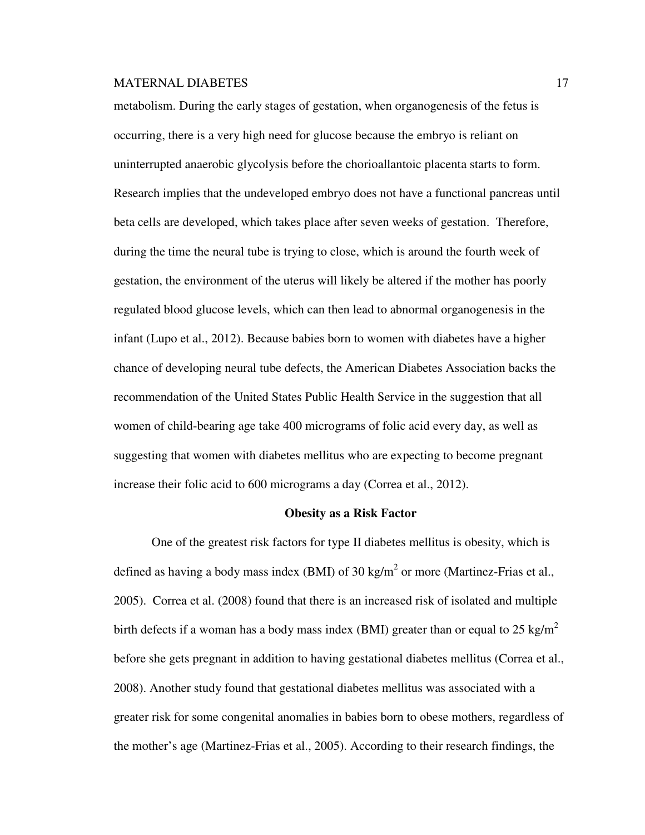metabolism. During the early stages of gestation, when organogenesis of the fetus is occurring, there is a very high need for glucose because the embryo is reliant on uninterrupted anaerobic glycolysis before the chorioallantoic placenta starts to form. Research implies that the undeveloped embryo does not have a functional pancreas until beta cells are developed, which takes place after seven weeks of gestation. Therefore, during the time the neural tube is trying to close, which is around the fourth week of gestation, the environment of the uterus will likely be altered if the mother has poorly regulated blood glucose levels, which can then lead to abnormal organogenesis in the infant (Lupo et al., 2012). Because babies born to women with diabetes have a higher chance of developing neural tube defects, the American Diabetes Association backs the recommendation of the United States Public Health Service in the suggestion that all women of child-bearing age take 400 micrograms of folic acid every day, as well as suggesting that women with diabetes mellitus who are expecting to become pregnant increase their folic acid to 600 micrograms a day (Correa et al., 2012).

#### **Obesity as a Risk Factor**

One of the greatest risk factors for type II diabetes mellitus is obesity, which is defined as having a body mass index (BMI) of 30 kg/m<sup>2</sup> or more (Martinez-Frias et al., 2005). Correa et al. (2008) found that there is an increased risk of isolated and multiple birth defects if a woman has a body mass index (BMI) greater than or equal to 25 kg/m<sup>2</sup> before she gets pregnant in addition to having gestational diabetes mellitus (Correa et al., 2008). Another study found that gestational diabetes mellitus was associated with a greater risk for some congenital anomalies in babies born to obese mothers, regardless of the mother's age (Martinez-Frias et al., 2005). According to their research findings, the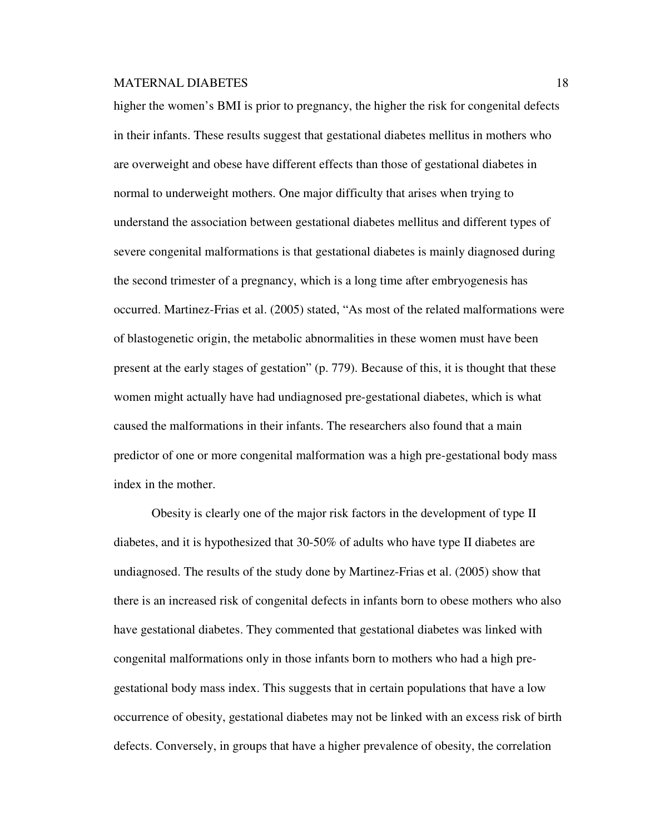higher the women's BMI is prior to pregnancy, the higher the risk for congenital defects in their infants. These results suggest that gestational diabetes mellitus in mothers who are overweight and obese have different effects than those of gestational diabetes in normal to underweight mothers. One major difficulty that arises when trying to understand the association between gestational diabetes mellitus and different types of severe congenital malformations is that gestational diabetes is mainly diagnosed during the second trimester of a pregnancy, which is a long time after embryogenesis has occurred. Martinez-Frias et al. (2005) stated, "As most of the related malformations were of blastogenetic origin, the metabolic abnormalities in these women must have been present at the early stages of gestation" (p. 779). Because of this, it is thought that these women might actually have had undiagnosed pre-gestational diabetes, which is what caused the malformations in their infants. The researchers also found that a main predictor of one or more congenital malformation was a high pre-gestational body mass index in the mother.

Obesity is clearly one of the major risk factors in the development of type II diabetes, and it is hypothesized that 30-50% of adults who have type II diabetes are undiagnosed. The results of the study done by Martinez-Frias et al. (2005) show that there is an increased risk of congenital defects in infants born to obese mothers who also have gestational diabetes. They commented that gestational diabetes was linked with congenital malformations only in those infants born to mothers who had a high pregestational body mass index. This suggests that in certain populations that have a low occurrence of obesity, gestational diabetes may not be linked with an excess risk of birth defects. Conversely, in groups that have a higher prevalence of obesity, the correlation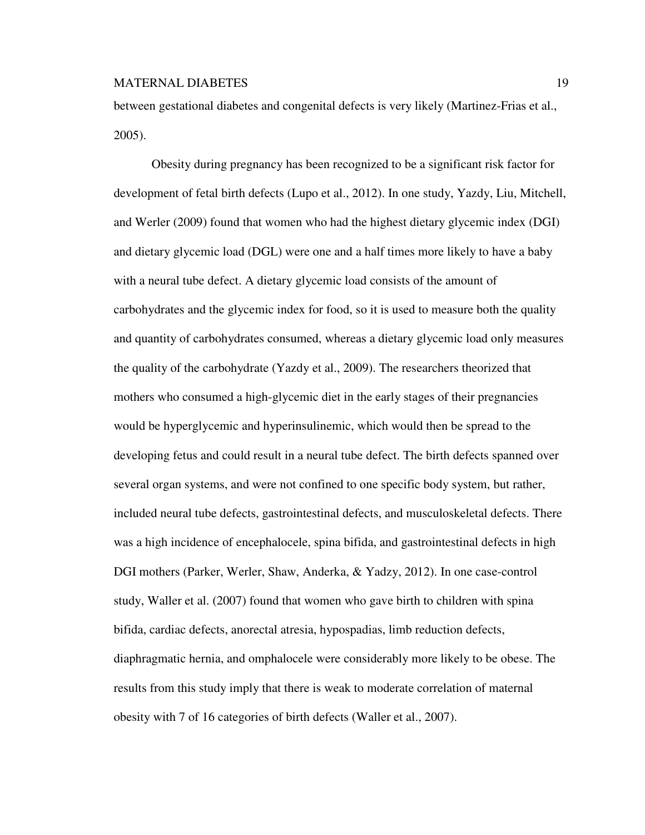between gestational diabetes and congenital defects is very likely (Martinez-Frias et al., 2005).

Obesity during pregnancy has been recognized to be a significant risk factor for development of fetal birth defects (Lupo et al., 2012). In one study, Yazdy, Liu, Mitchell, and Werler (2009) found that women who had the highest dietary glycemic index (DGI) and dietary glycemic load (DGL) were one and a half times more likely to have a baby with a neural tube defect. A dietary glycemic load consists of the amount of carbohydrates and the glycemic index for food, so it is used to measure both the quality and quantity of carbohydrates consumed, whereas a dietary glycemic load only measures the quality of the carbohydrate (Yazdy et al., 2009). The researchers theorized that mothers who consumed a high-glycemic diet in the early stages of their pregnancies would be hyperglycemic and hyperinsulinemic, which would then be spread to the developing fetus and could result in a neural tube defect. The birth defects spanned over several organ systems, and were not confined to one specific body system, but rather, included neural tube defects, gastrointestinal defects, and musculoskeletal defects. There was a high incidence of encephalocele, spina bifida, and gastrointestinal defects in high DGI mothers (Parker, Werler, Shaw, Anderka, & Yadzy, 2012). In one case-control study, Waller et al. (2007) found that women who gave birth to children with spina bifida, cardiac defects, anorectal atresia, hypospadias, limb reduction defects, diaphragmatic hernia, and omphalocele were considerably more likely to be obese. The results from this study imply that there is weak to moderate correlation of maternal obesity with 7 of 16 categories of birth defects (Waller et al., 2007).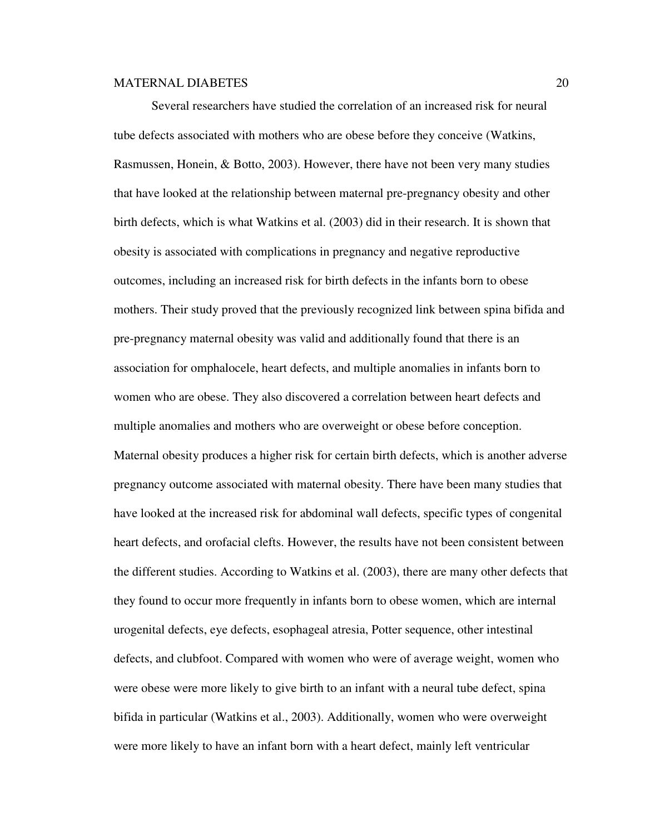Several researchers have studied the correlation of an increased risk for neural tube defects associated with mothers who are obese before they conceive (Watkins, Rasmussen, Honein, & Botto, 2003). However, there have not been very many studies that have looked at the relationship between maternal pre-pregnancy obesity and other birth defects, which is what Watkins et al. (2003) did in their research. It is shown that obesity is associated with complications in pregnancy and negative reproductive outcomes, including an increased risk for birth defects in the infants born to obese mothers. Their study proved that the previously recognized link between spina bifida and pre-pregnancy maternal obesity was valid and additionally found that there is an association for omphalocele, heart defects, and multiple anomalies in infants born to women who are obese. They also discovered a correlation between heart defects and multiple anomalies and mothers who are overweight or obese before conception. Maternal obesity produces a higher risk for certain birth defects, which is another adverse pregnancy outcome associated with maternal obesity. There have been many studies that have looked at the increased risk for abdominal wall defects, specific types of congenital heart defects, and orofacial clefts. However, the results have not been consistent between the different studies. According to Watkins et al. (2003), there are many other defects that they found to occur more frequently in infants born to obese women, which are internal urogenital defects, eye defects, esophageal atresia, Potter sequence, other intestinal defects, and clubfoot. Compared with women who were of average weight, women who were obese were more likely to give birth to an infant with a neural tube defect, spina bifida in particular (Watkins et al., 2003). Additionally, women who were overweight were more likely to have an infant born with a heart defect, mainly left ventricular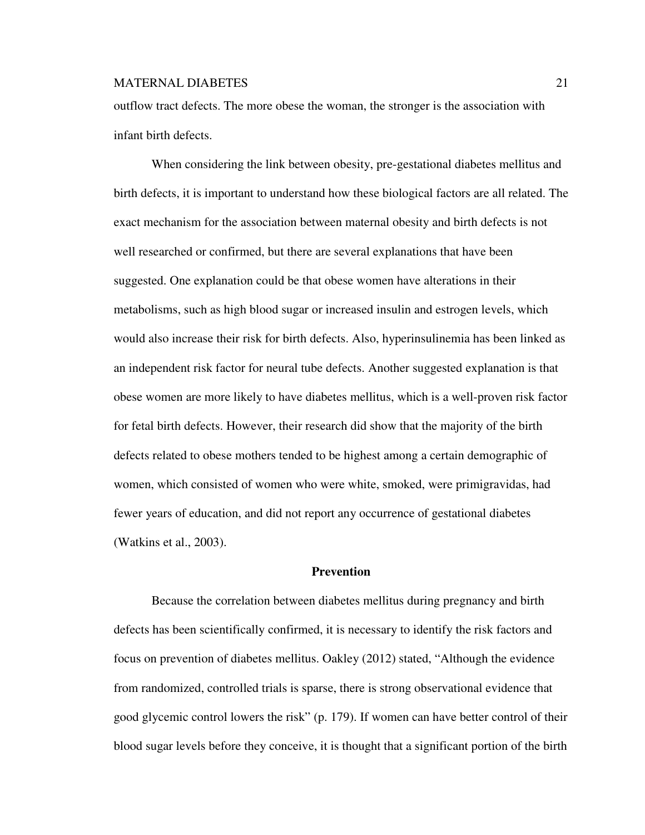outflow tract defects. The more obese the woman, the stronger is the association with infant birth defects.

 When considering the link between obesity, pre-gestational diabetes mellitus and birth defects, it is important to understand how these biological factors are all related. The exact mechanism for the association between maternal obesity and birth defects is not well researched or confirmed, but there are several explanations that have been suggested. One explanation could be that obese women have alterations in their metabolisms, such as high blood sugar or increased insulin and estrogen levels, which would also increase their risk for birth defects. Also, hyperinsulinemia has been linked as an independent risk factor for neural tube defects. Another suggested explanation is that obese women are more likely to have diabetes mellitus, which is a well-proven risk factor for fetal birth defects. However, their research did show that the majority of the birth defects related to obese mothers tended to be highest among a certain demographic of women, which consisted of women who were white, smoked, were primigravidas, had fewer years of education, and did not report any occurrence of gestational diabetes (Watkins et al., 2003).

### **Prevention**

Because the correlation between diabetes mellitus during pregnancy and birth defects has been scientifically confirmed, it is necessary to identify the risk factors and focus on prevention of diabetes mellitus. Oakley (2012) stated, "Although the evidence from randomized, controlled trials is sparse, there is strong observational evidence that good glycemic control lowers the risk" (p. 179). If women can have better control of their blood sugar levels before they conceive, it is thought that a significant portion of the birth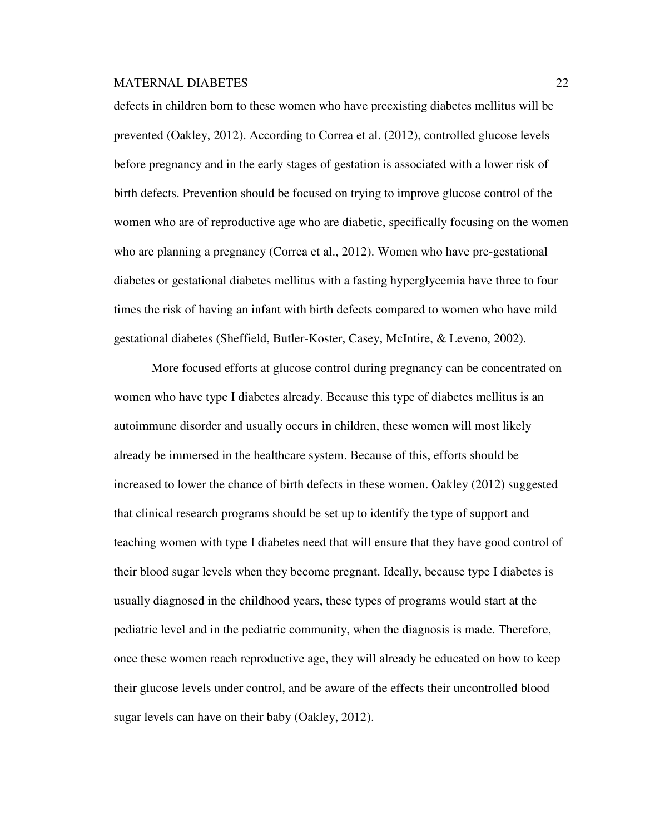defects in children born to these women who have preexisting diabetes mellitus will be prevented (Oakley, 2012). According to Correa et al. (2012), controlled glucose levels before pregnancy and in the early stages of gestation is associated with a lower risk of birth defects. Prevention should be focused on trying to improve glucose control of the women who are of reproductive age who are diabetic, specifically focusing on the women who are planning a pregnancy (Correa et al., 2012). Women who have pre-gestational diabetes or gestational diabetes mellitus with a fasting hyperglycemia have three to four times the risk of having an infant with birth defects compared to women who have mild gestational diabetes (Sheffield, Butler-Koster, Casey, McIntire, & Leveno, 2002).

More focused efforts at glucose control during pregnancy can be concentrated on women who have type I diabetes already. Because this type of diabetes mellitus is an autoimmune disorder and usually occurs in children, these women will most likely already be immersed in the healthcare system. Because of this, efforts should be increased to lower the chance of birth defects in these women. Oakley (2012) suggested that clinical research programs should be set up to identify the type of support and teaching women with type I diabetes need that will ensure that they have good control of their blood sugar levels when they become pregnant. Ideally, because type I diabetes is usually diagnosed in the childhood years, these types of programs would start at the pediatric level and in the pediatric community, when the diagnosis is made. Therefore, once these women reach reproductive age, they will already be educated on how to keep their glucose levels under control, and be aware of the effects their uncontrolled blood sugar levels can have on their baby (Oakley, 2012).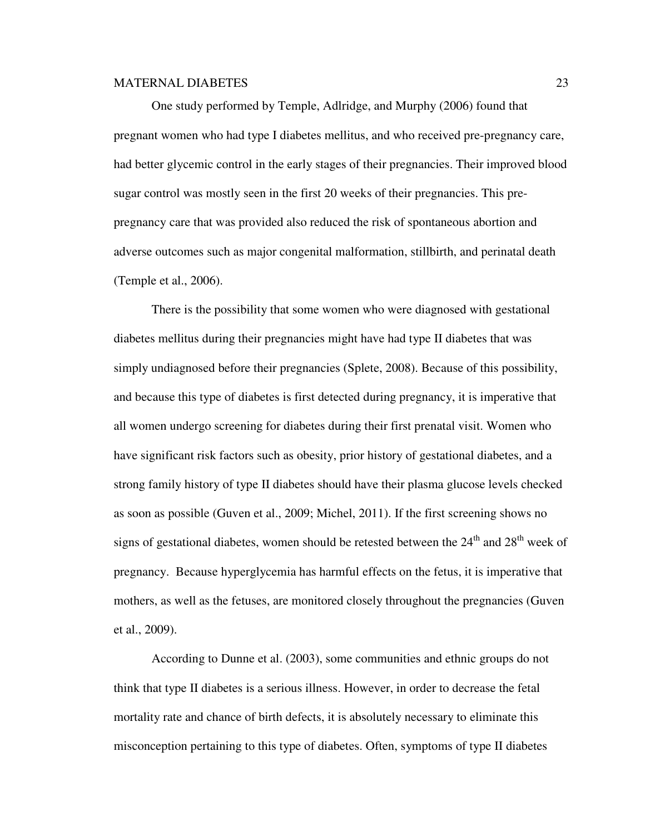One study performed by Temple, Adlridge, and Murphy (2006) found that pregnant women who had type I diabetes mellitus, and who received pre-pregnancy care, had better glycemic control in the early stages of their pregnancies. Their improved blood sugar control was mostly seen in the first 20 weeks of their pregnancies. This prepregnancy care that was provided also reduced the risk of spontaneous abortion and adverse outcomes such as major congenital malformation, stillbirth, and perinatal death (Temple et al., 2006).

There is the possibility that some women who were diagnosed with gestational diabetes mellitus during their pregnancies might have had type II diabetes that was simply undiagnosed before their pregnancies (Splete, 2008). Because of this possibility, and because this type of diabetes is first detected during pregnancy, it is imperative that all women undergo screening for diabetes during their first prenatal visit. Women who have significant risk factors such as obesity, prior history of gestational diabetes, and a strong family history of type II diabetes should have their plasma glucose levels checked as soon as possible (Guven et al., 2009; Michel, 2011). If the first screening shows no signs of gestational diabetes, women should be retested between the  $24<sup>th</sup>$  and  $28<sup>th</sup>$  week of pregnancy. Because hyperglycemia has harmful effects on the fetus, it is imperative that mothers, as well as the fetuses, are monitored closely throughout the pregnancies (Guven et al., 2009).

According to Dunne et al. (2003), some communities and ethnic groups do not think that type II diabetes is a serious illness. However, in order to decrease the fetal mortality rate and chance of birth defects, it is absolutely necessary to eliminate this misconception pertaining to this type of diabetes. Often, symptoms of type II diabetes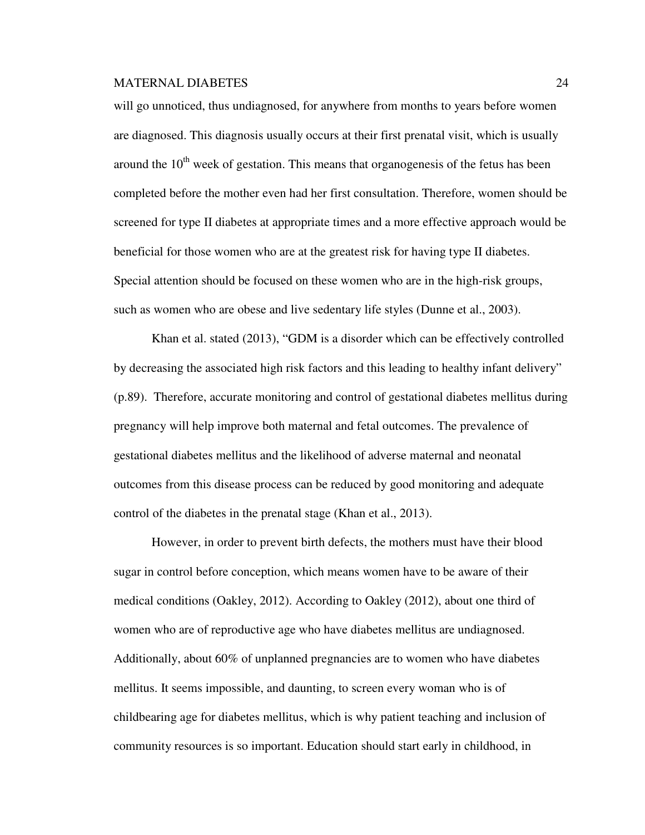will go unnoticed, thus undiagnosed, for anywhere from months to years before women are diagnosed. This diagnosis usually occurs at their first prenatal visit, which is usually around the  $10<sup>th</sup>$  week of gestation. This means that organogenesis of the fetus has been completed before the mother even had her first consultation. Therefore, women should be screened for type II diabetes at appropriate times and a more effective approach would be beneficial for those women who are at the greatest risk for having type II diabetes. Special attention should be focused on these women who are in the high-risk groups, such as women who are obese and live sedentary life styles (Dunne et al., 2003).

Khan et al. stated (2013), "GDM is a disorder which can be effectively controlled by decreasing the associated high risk factors and this leading to healthy infant delivery" (p.89). Therefore, accurate monitoring and control of gestational diabetes mellitus during pregnancy will help improve both maternal and fetal outcomes. The prevalence of gestational diabetes mellitus and the likelihood of adverse maternal and neonatal outcomes from this disease process can be reduced by good monitoring and adequate control of the diabetes in the prenatal stage (Khan et al., 2013).

However, in order to prevent birth defects, the mothers must have their blood sugar in control before conception, which means women have to be aware of their medical conditions (Oakley, 2012). According to Oakley (2012), about one third of women who are of reproductive age who have diabetes mellitus are undiagnosed. Additionally, about 60% of unplanned pregnancies are to women who have diabetes mellitus. It seems impossible, and daunting, to screen every woman who is of childbearing age for diabetes mellitus, which is why patient teaching and inclusion of community resources is so important. Education should start early in childhood, in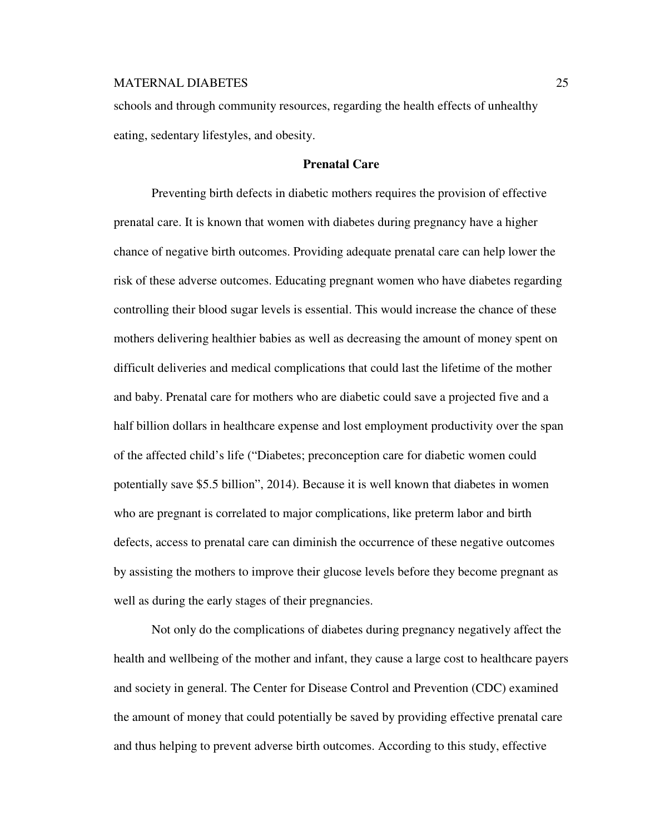schools and through community resources, regarding the health effects of unhealthy eating, sedentary lifestyles, and obesity.

# **Prenatal Care**

Preventing birth defects in diabetic mothers requires the provision of effective prenatal care. It is known that women with diabetes during pregnancy have a higher chance of negative birth outcomes. Providing adequate prenatal care can help lower the risk of these adverse outcomes. Educating pregnant women who have diabetes regarding controlling their blood sugar levels is essential. This would increase the chance of these mothers delivering healthier babies as well as decreasing the amount of money spent on difficult deliveries and medical complications that could last the lifetime of the mother and baby. Prenatal care for mothers who are diabetic could save a projected five and a half billion dollars in healthcare expense and lost employment productivity over the span of the affected child's life ("Diabetes; preconception care for diabetic women could potentially save \$5.5 billion", 2014). Because it is well known that diabetes in women who are pregnant is correlated to major complications, like preterm labor and birth defects, access to prenatal care can diminish the occurrence of these negative outcomes by assisting the mothers to improve their glucose levels before they become pregnant as well as during the early stages of their pregnancies.

Not only do the complications of diabetes during pregnancy negatively affect the health and wellbeing of the mother and infant, they cause a large cost to healthcare payers and society in general. The Center for Disease Control and Prevention (CDC) examined the amount of money that could potentially be saved by providing effective prenatal care and thus helping to prevent adverse birth outcomes. According to this study, effective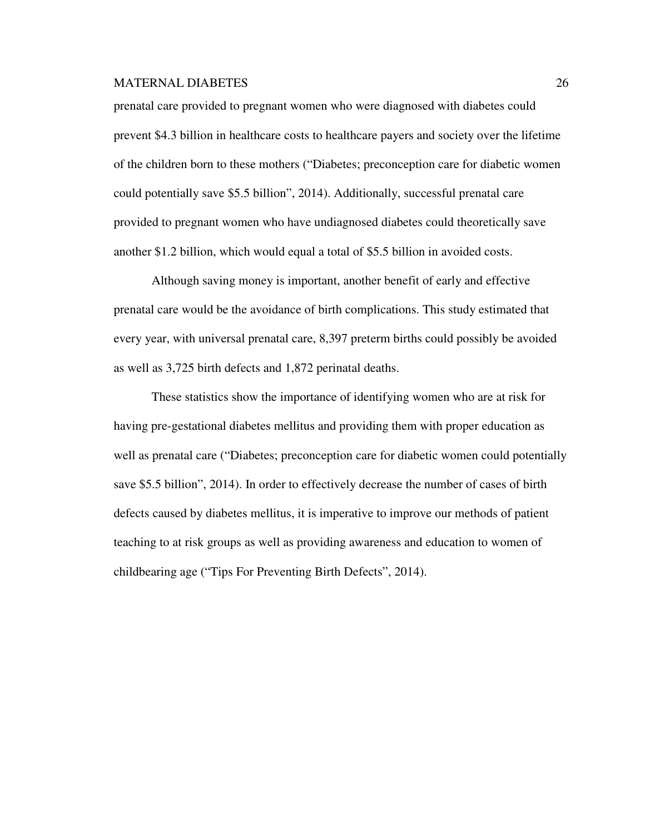prenatal care provided to pregnant women who were diagnosed with diabetes could prevent \$4.3 billion in healthcare costs to healthcare payers and society over the lifetime of the children born to these mothers ("Diabetes; preconception care for diabetic women could potentially save \$5.5 billion", 2014). Additionally, successful prenatal care provided to pregnant women who have undiagnosed diabetes could theoretically save another \$1.2 billion, which would equal a total of \$5.5 billion in avoided costs.

Although saving money is important, another benefit of early and effective prenatal care would be the avoidance of birth complications. This study estimated that every year, with universal prenatal care, 8,397 preterm births could possibly be avoided as well as 3,725 birth defects and 1,872 perinatal deaths.

These statistics show the importance of identifying women who are at risk for having pre-gestational diabetes mellitus and providing them with proper education as well as prenatal care ("Diabetes; preconception care for diabetic women could potentially save \$5.5 billion", 2014). In order to effectively decrease the number of cases of birth defects caused by diabetes mellitus, it is imperative to improve our methods of patient teaching to at risk groups as well as providing awareness and education to women of childbearing age ("Tips For Preventing Birth Defects", 2014).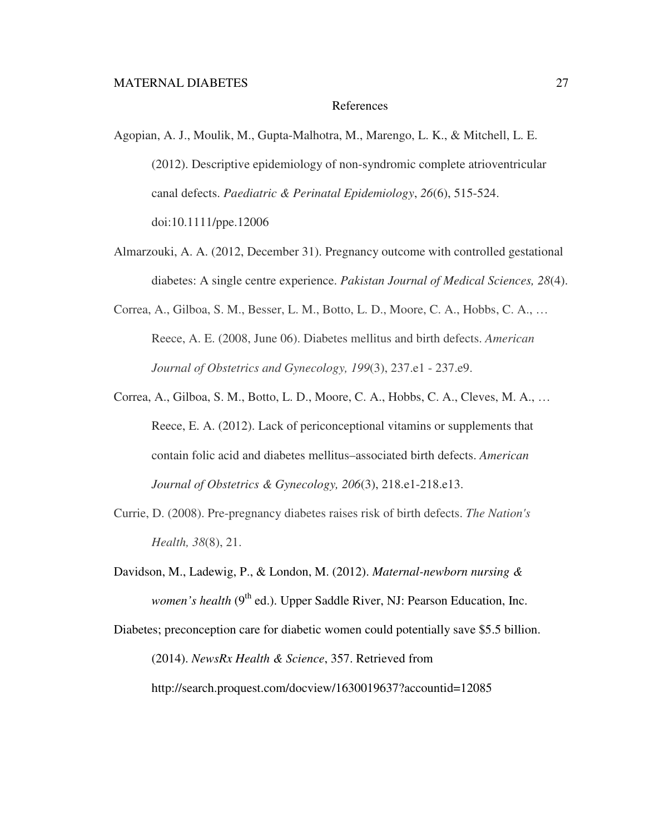#### References

- Agopian, A. J., Moulik, M., Gupta-Malhotra, M., Marengo, L. K., & Mitchell, L. E. (2012). Descriptive epidemiology of non-syndromic complete atrioventricular canal defects. *Paediatric & Perinatal Epidemiology*, *26*(6), 515-524. doi:10.1111/ppe.12006
- Almarzouki, A. A. (2012, December 31). Pregnancy outcome with controlled gestational diabetes: A single centre experience. *Pakistan Journal of Medical Sciences, 28*(4).
- Correa, A., Gilboa, S. M., Besser, L. M., Botto, L. D., Moore, C. A., Hobbs, C. A., … Reece, A. E. (2008, June 06). Diabetes mellitus and birth defects. *American Journal of Obstetrics and Gynecology, 199*(3), 237.e1 - 237.e9.
- Correa, A., Gilboa, S. M., Botto, L. D., Moore, C. A., Hobbs, C. A., Cleves, M. A., … Reece, E. A. (2012). Lack of periconceptional vitamins or supplements that contain folic acid and diabetes mellitus–associated birth defects. *American Journal of Obstetrics & Gynecology, 206*(3), 218.e1-218.e13.
- Currie, D. (2008). Pre-pregnancy diabetes raises risk of birth defects. *The Nation's Health, 38*(8), 21.
- Davidson, M., Ladewig, P., & London, M. (2012). *Maternal-newborn nursing & women's health* (9<sup>th</sup> ed.). Upper Saddle River, NJ: Pearson Education, Inc.

Diabetes; preconception care for diabetic women could potentially save \$5.5 billion. (2014). *NewsRx Health & Science*, 357. Retrieved from http://search.proquest.com/docview/1630019637?accountid=12085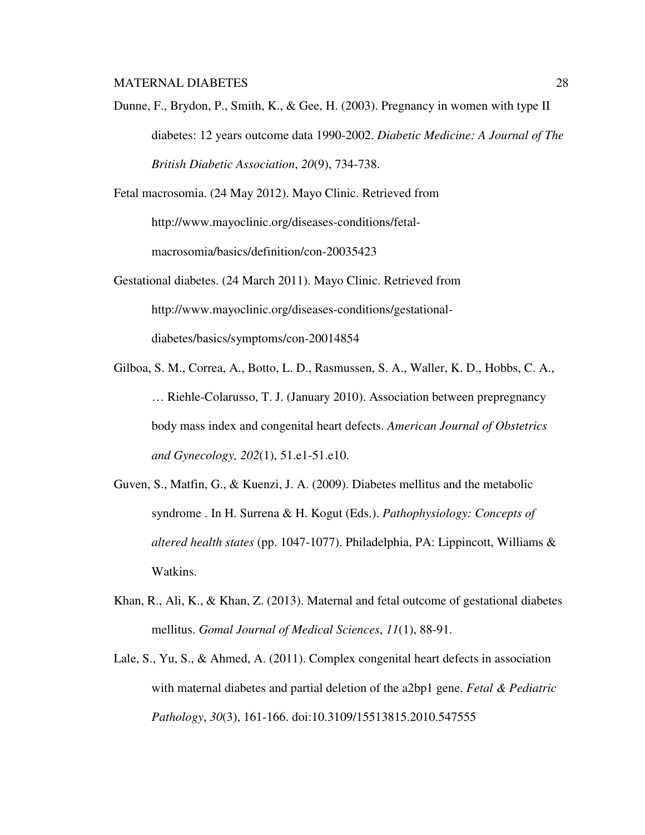Dunne, F., Brydon, P., Smith, K., & Gee, H. (2003). Pregnancy in women with type II diabetes: 12 years outcome data 1990-2002. *Diabetic Medicine: A Journal of The British Diabetic Association*, *20*(9), 734-738.

Fetal macrosomia. (24 May 2012). Mayo Clinic. Retrieved from http://www.mayoclinic.org/diseases-conditions/fetalmacrosomia/basics/definition/con-20035423

- Gestational diabetes. (24 March 2011). Mayo Clinic. Retrieved from http://www.mayoclinic.org/diseases-conditions/gestationaldiabetes/basics/symptoms/con-20014854
- Gilboa, S. M., Correa, A., Botto, L. D., Rasmussen, S. A., Waller, K. D., Hobbs, C. A., … Riehle-Colarusso, T. J. (January 2010). Association between prepregnancy body mass index and congenital heart defects. *American Journal of Obstetrics and Gynecology, 202*(1), 51.e1-51.e10.
- Guven, S., Matfin, G., & Kuenzi, J. A. (2009). Diabetes mellitus and the metabolic syndrome . In H. Surrena & H. Kogut (Eds.). *Pathophysiology: Concepts of altered health states* (pp. 1047-1077). Philadelphia, PA: Lippincott, Williams & Watkins.
- Khan, R., Ali, K., & Khan, Z. (2013). Maternal and fetal outcome of gestational diabetes mellitus. *Gomal Journal of Medical Sciences*, *11*(1), 88-91.
- Lale, S., Yu, S., & Ahmed, A. (2011). Complex congenital heart defects in association with maternal diabetes and partial deletion of the a2bp1 gene. *Fetal & Pediatric Pathology*, *30*(3), 161-166. doi:10.3109/15513815.2010.547555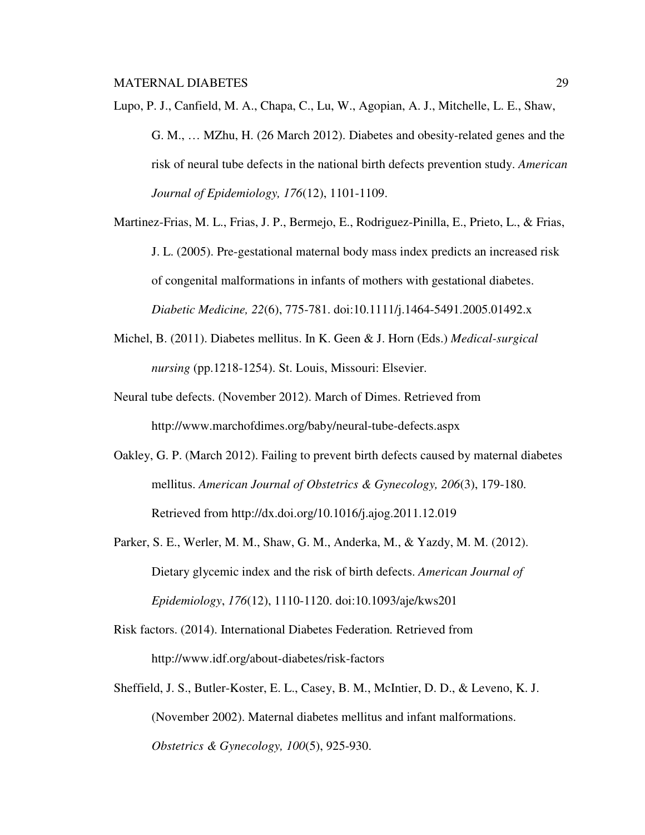- Lupo, P. J., Canfield, M. A., Chapa, C., Lu, W., Agopian, A. J., Mitchelle, L. E., Shaw, G. M., … MZhu, H. (26 March 2012). Diabetes and obesity-related genes and the risk of neural tube defects in the national birth defects prevention study. *American Journal of Epidemiology, 176*(12), 1101-1109.
- Martinez-Frias, M. L., Frias, J. P., Bermejo, E., Rodriguez-Pinilla, E., Prieto, L., & Frias, J. L. (2005). Pre-gestational maternal body mass index predicts an increased risk of congenital malformations in infants of mothers with gestational diabetes. *Diabetic Medicine, 22*(6), 775-781. doi:10.1111/j.1464-5491.2005.01492.x
- Michel, B. (2011). Diabetes mellitus. In K. Geen & J. Horn (Eds.) *Medical-surgical nursing* (pp.1218-1254). St. Louis, Missouri: Elsevier.
- Neural tube defects. (November 2012). March of Dimes. Retrieved from http://www.marchofdimes.org/baby/neural-tube-defects.aspx
- Oakley, G. P. (March 2012). Failing to prevent birth defects caused by maternal diabetes mellitus. *American Journal of Obstetrics & Gynecology, 206*(3), 179-180. Retrieved from http://dx.doi.org/10.1016/j.ajog.2011.12.019
- Parker, S. E., Werler, M. M., Shaw, G. M., Anderka, M., & Yazdy, M. M. (2012). Dietary glycemic index and the risk of birth defects. *American Journal of Epidemiology*, *176*(12), 1110-1120. doi:10.1093/aje/kws201
- Risk factors. (2014). International Diabetes Federation*.* Retrieved from http://www.idf.org/about-diabetes/risk-factors
- Sheffield, J. S., Butler-Koster, E. L., Casey, B. M., McIntier, D. D., & Leveno, K. J. (November 2002). Maternal diabetes mellitus and infant malformations. *Obstetrics & Gynecology, 100*(5), 925-930.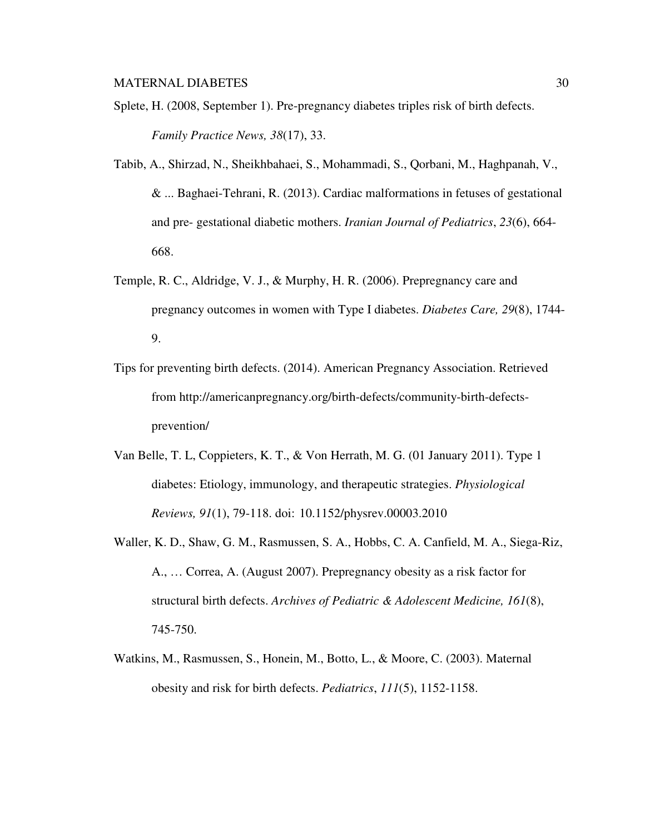- Splete, H. (2008, September 1). Pre-pregnancy diabetes triples risk of birth defects. *Family Practice News, 38*(17), 33.
- Tabib, A., Shirzad, N., Sheikhbahaei, S., Mohammadi, S., Qorbani, M., Haghpanah, V., & ... Baghaei-Tehrani, R. (2013). Cardiac malformations in fetuses of gestational and pre- gestational diabetic mothers. *Iranian Journal of Pediatrics*, *23*(6), 664- 668.
- Temple, R. C., Aldridge, V. J., & Murphy, H. R. (2006). Prepregnancy care and pregnancy outcomes in women with Type I diabetes. *Diabetes Care, 29*(8), 1744- 9.
- Tips for preventing birth defects. (2014). American Pregnancy Association. Retrieved from http://americanpregnancy.org/birth-defects/community-birth-defectsprevention/
- Van Belle, T. L, Coppieters, K. T., & Von Herrath, M. G. (01 January 2011). Type 1 diabetes: Etiology, immunology, and therapeutic strategies. *Physiological Reviews, 91*(1), 79-118. doi: 10.1152/physrev.00003.2010
- Waller, K. D., Shaw, G. M., Rasmussen, S. A., Hobbs, C. A. Canfield, M. A., Siega-Riz, A., … Correa, A. (August 2007). Prepregnancy obesity as a risk factor for structural birth defects. *Archives of Pediatric & Adolescent Medicine, 161*(8), 745-750.
- Watkins, M., Rasmussen, S., Honein, M., Botto, L., & Moore, C. (2003). Maternal obesity and risk for birth defects. *Pediatrics*, *111*(5), 1152-1158.